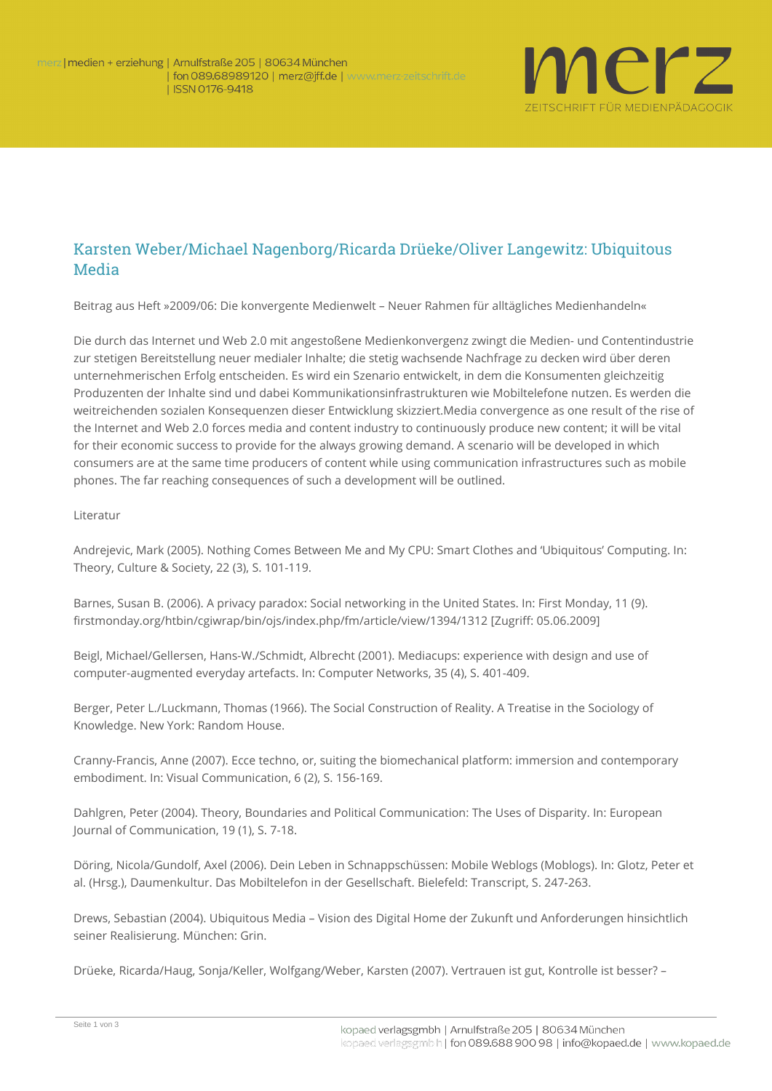

## Karsten Weber/Michael Nagenborg/Ricarda Drüeke/Oliver Langewitz: Ubiquitous Media

**Beitrag aus Heft »2009/06: Die konvergente Medienwelt – Neuer Rahmen für alltägliches Medienhandeln«**

Die durch das Internet und Web 2.0 mit angestoßene Medienkonvergenz zwingt die Medien- und Contentindustrie zur stetigen Bereitstellung neuer medialer Inhalte; die stetig wachsende Nachfrage zu decken wird über deren unternehmerischen Erfolg entscheiden. Es wird ein Szenario entwickelt, in dem die Konsumenten gleichzeitig Produzenten der Inhalte sind und dabei Kommunikationsinfrastrukturen wie Mobiltelefone nutzen. Es werden die weitreichenden sozialen Konsequenzen dieser Entwicklung skizziert.Media convergence as one result of the rise of the Internet and Web 2.0 forces media and content industry to continuously produce new content; it will be vital for their economic success to provide for the always growing demand. A scenario will be developed in which consumers are at the same time producers of content while using communication infrastructures such as mobile phones. The far reaching consequences of such a development will be outlined.

## **Literatur**

Andrejevic, Mark (2005). Nothing Comes Between Me and My CPU: Smart Clothes and 'Ubiquitous' Computing. In: Theory, Culture & Society, 22 (3), S. 101-119.

Barnes, Susan B. (2006). A privacy paradox: Social networking in the United States. In: First Monday, 11 (9). firstmonday.org/htbin/cgiwrap/bin/ojs/index.php/fm/article/view/1394/1312 [Zugriff: 05.06.2009]

Beigl, Michael/Gellersen, Hans-W./Schmidt, Albrecht (2001). Mediacups: experience with design and use of computer-augmented everyday artefacts. In: Computer Networks, 35 (4), S. 401-409.

Berger, Peter L./Luckmann, Thomas (1966). The Social Construction of Reality. A Treatise in the Sociology of Knowledge. New York: Random House.

Cranny-Francis, Anne (2007). Ecce techno, or, suiting the biomechanical platform: immersion and contemporary embodiment. In: Visual Communication, 6 (2), S. 156-169.

Dahlgren, Peter (2004). Theory, Boundaries and Political Communication: The Uses of Disparity. In: European Journal of Communication, 19 (1), S. 7-18.

Döring, Nicola/Gundolf, Axel (2006). Dein Leben in Schnappschüssen: Mobile Weblogs (Moblogs). In: Glotz, Peter et al. (Hrsg.), Daumenkultur. Das Mobiltelefon in der Gesellschaft. Bielefeld: Transcript, S. 247-263.

Drews, Sebastian (2004). Ubiquitous Media – Vision des Digital Home der Zukunft und Anforderungen hinsichtlich seiner Realisierung. München: Grin.

Drüeke, Ricarda/Haug, Sonja/Keller, Wolfgang/Weber, Karsten (2007). Vertrauen ist gut, Kontrolle ist besser? –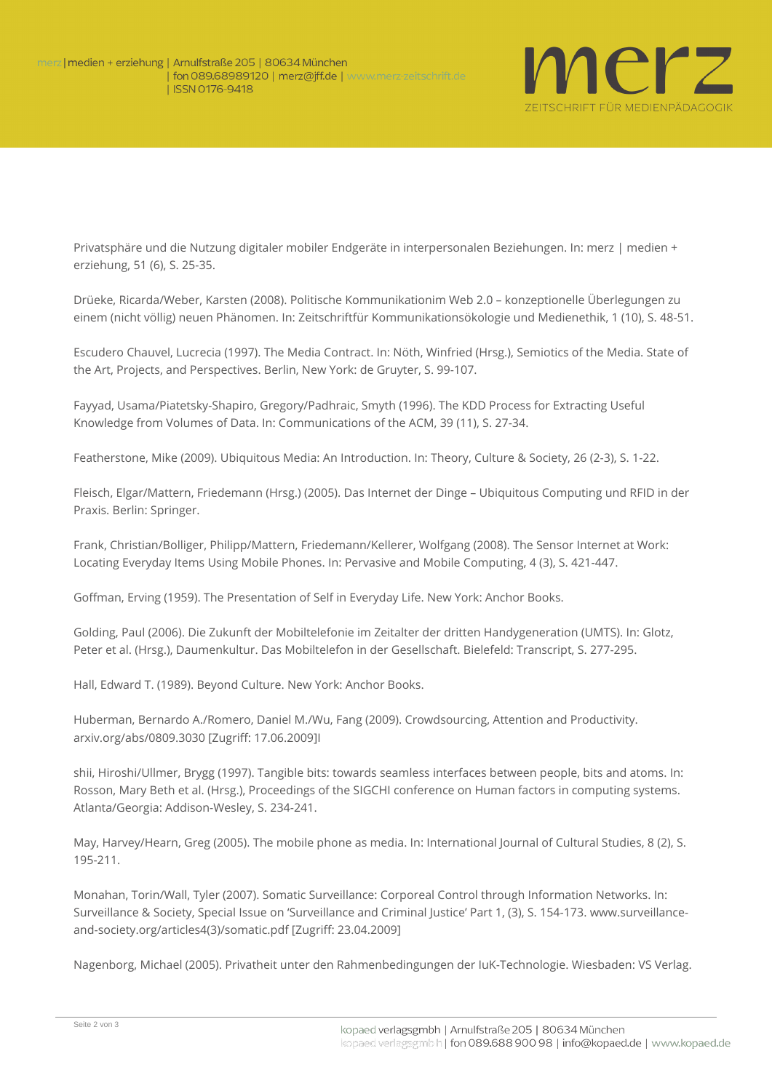

Privatsphäre und die Nutzung digitaler mobiler Endgeräte in interpersonalen Beziehungen. In: merz | medien + erziehung, 51 (6), S. 25-35.

Drüeke, Ricarda/Weber, Karsten (2008). Politische Kommunikationim Web 2.0 – konzeptionelle Überlegungen zu einem (nicht völlig) neuen Phänomen. In: Zeitschriftfür Kommunikationsökologie und Medienethik, 1 (10), S. 48-51.

Escudero Chauvel, Lucrecia (1997). The Media Contract. In: Nöth, Winfried (Hrsg.), Semiotics of the Media. State of the Art, Projects, and Perspectives. Berlin, New York: de Gruyter, S. 99-107.

Fayyad, Usama/Piatetsky-Shapiro, Gregory/Padhraic, Smyth (1996). The KDD Process for Extracting Useful Knowledge from Volumes of Data. In: Communications of the ACM, 39 (11), S. 27-34.

Featherstone, Mike (2009). Ubiquitous Media: An Introduction. In: Theory, Culture & Society, 26 (2-3), S. 1-22.

Fleisch, Elgar/Mattern, Friedemann (Hrsg.) (2005). Das Internet der Dinge – Ubiquitous Computing und RFID in der Praxis. Berlin: Springer.

Frank, Christian/Bolliger, Philipp/Mattern, Friedemann/Kellerer, Wolfgang (2008). The Sensor Internet at Work: Locating Everyday Items Using Mobile Phones. In: Pervasive and Mobile Computing, 4 (3), S. 421-447.

Goffman, Erving (1959). The Presentation of Self in Everyday Life. New York: Anchor Books.

Golding, Paul (2006). Die Zukunft der Mobiltelefonie im Zeitalter der dritten Handygeneration (UMTS). In: Glotz, Peter et al. (Hrsg.), Daumenkultur. Das Mobiltelefon in der Gesellschaft. Bielefeld: Transcript, S. 277-295.

Hall, Edward T. (1989). Beyond Culture. New York: Anchor Books.

Huberman, Bernardo A./Romero, Daniel M./Wu, Fang (2009). Crowdsourcing, Attention and Productivity. [arxiv.org/abs/0809.3030](http://arxiv.org/abs/0809.3030) [Zugriff: 17.06.2009]I

shii, Hiroshi/Ullmer, Brygg (1997). Tangible bits: towards seamless interfaces between people, bits and atoms. In: Rosson, Mary Beth et al. (Hrsg.), Proceedings of the SIGCHI conference on Human factors in computing systems. Atlanta/Georgia: Addison-Wesley, S. 234-241.

May, Harvey/Hearn, Greg (2005). The mobile phone as media. In: International Journal of Cultural Studies, 8 (2), S. 195-211.

Monahan, Torin/Wall, Tyler (2007). Somatic Surveillance: Corporeal Control through Information Networks. In: Surveillance & Society, Special Issue on 'Surveillance and Criminal Justice' Part 1, (3), S. 154-173. www.surveillanceand-society.org/articles4(3)/somatic.pdf [Zugriff: 23.04.2009]

Nagenborg, Michael (2005). Privatheit unter den Rahmenbedingungen der IuK-Technologie. Wiesbaden: VS Verlag.